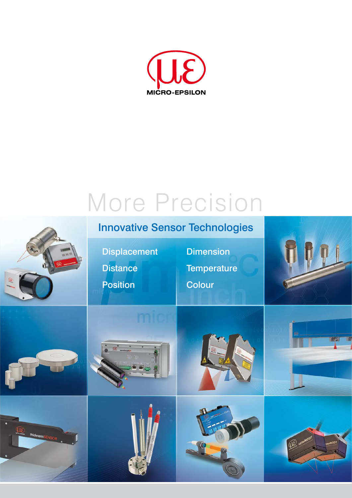

# More Precision

## Innovative Sensor Technologies

Displacement

**Distance** 

Position

**Dimension Temperature** 

Colour















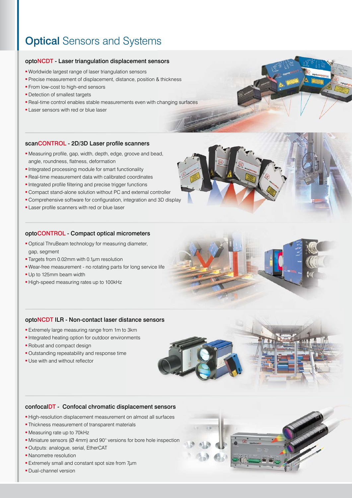### **Optical Sensors and Systems**

### optoNCDT - Laser triangulation displacement sensors

- Worldwide largest range of laser triangulation sensors
- **Precise measurement of displacement, distance, position & thickness**
- **From low-cost to high-end sensors**
- **-** Detection of smallest targets
- Real-time control enables stable measurements even with changing surfaces
- **Laser sensors with red or blue laser**

#### scanCONTROL - 2D/3D Laser profile scanners

- Measuring profile, gap, width, depth, edge, groove and bead, angle, roundness, flatness, deformation
- **Integrated processing module for smart functionality**
- Real-time measurement data with calibrated coordinates
- Integrated profile filtering and precise trigger functions
- Compact stand-alone solution without PC and external controller
- Comprehensive software for configuration, integration and 3D display
- **Laser profile scanners with red or blue laser**

#### optoCONTROL - Compact optical micrometers

- **Optical ThruBeam technology for measuring diameter,** gap, segment
- **Targets from 0.02mm with 0.1** $\mu$ **m resolution**
- Wear-free measurement no rotating parts for long service life
- Up to 125mm beam width
- High-speed measuring rates up to 100kHz

#### optoNCDT ILR - Non-contact laser distance sensors

- **Extremely large measuring range from 1m to 3km**
- **Integrated heating option for outdoor environments**
- **Robust and compact design**
- **Outstanding repeatability and response time**
- Use with and without reflector



#### confocalDT - Confocal chromatic displacement sensors

- High-resolution displacement measurement on almost all surfaces
- **Thickness measurement of transparent materials**
- Measuring rate up to 70kHz
- Miniature sensors (Ø 4mm) and 90° versions for bore hole inspection
- Outputs: analogue, serial, EtherCAT
- Nanometre resolution
- **Extremely small and constant spot size from**  $7\mu$ **m**
- **Dual-channel version**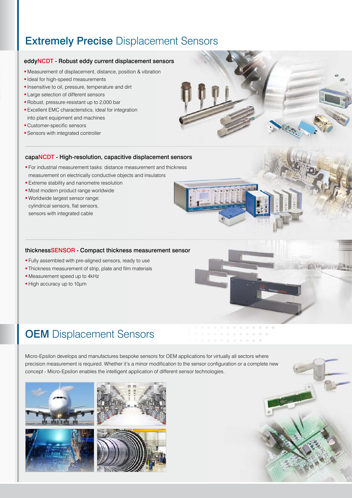### **Extremely Precise Displacement Sensors**

### eddyNCDT - Robust eddy current displacement sensors

- Measurement of displacement, distance, position & vibration
- **I** Ideal for high-speed measurements
- **Insensitive to oil, pressure, temperature and dirt**
- **Large selection of different sensors**
- Robust, pressure-resistant up to 2,000 bar
- **Excellent EMC characteristics, ideal for integration** into plant equipment and machines
- Customer-specific sensors
- **Sensors with integrated controller**



#### capaNCDT - High-resolution, capacitive displacement sensors

- For industrial measurement tasks: distance measurement and thickness measurement on electrically conductive objects and insulators
- **Extreme stability and nanometre resolution**
- **Most modern product range worldwide**
- Worldwide largest sensor range: cylindrical sensors, flat sensors, sensors with integrated cable

#### thicknessSENSOR - Compact thickness measurement sensor

- **Fully assembled with pre-aligned sensors, ready to use**
- Thickness measurement of strip, plate and film materials
- Measurement speed up to 4kHz
- $\blacksquare$  High accuracy up to 10 $\mu$ m



. . . . . . . .

### **OEM** Displacement Sensors

Micro-Epsilon develops and manufactures bespoke sensors for OEM applications for virtually all sectors where precision measurement is required. Whether it's a minor modification to the sensor configuration or a complete new concept - Micro-Epsilon enables the intelligent application of different sensor technologies.





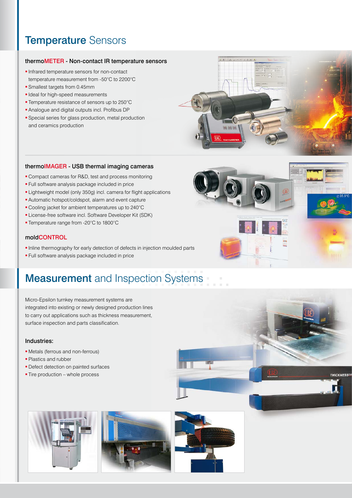### Temperature Sensors

### thermoMETER - Non-contact IR temperature sensors

- **Infrared temperature sensors for non-contact** temperature measurement from -50°C to 2200°C
- **Smallest targets from 0.45mm**
- **I** Ideal for high-speed measurements
- **Temperature resistance of sensors up to 250°C**
- Analogue and digital outputs incl. Profibus DP
- Special series for glass production, metal production and ceramics production



### thermoIMAGER - USB thermal imaging cameras

- Compact cameras for R&D, test and process monitoring
- **Full software analysis package included in price**
- **Elightweight model (only 350g) incl. camera for flight applications**
- Automatic hotspot/coldspot, alarm and event capture
- Cooling jacket for ambient temperatures up to 240°C
- **License-free software incl. Software Developer Kit (SDK)**
- Temperature range from -20°C to 1800°C

### moldCONTROL

- Inline thermography for early detection of defects in injection moulded parts
- Full software analysis package included in price

# **Measurement** and Inspection Systems

Micro-Epsilon turnkey measurement systems are integrated into existing or newly designed production lines to carry out applications such as thickness measurement, surface inspection and parts classification.

### Industries:

- Metals (ferrous and non-ferrous)
- **Plastics and rubber**
- **Defect detection on painted surfaces**
- **Tire production whole process**







**TUICKNESS**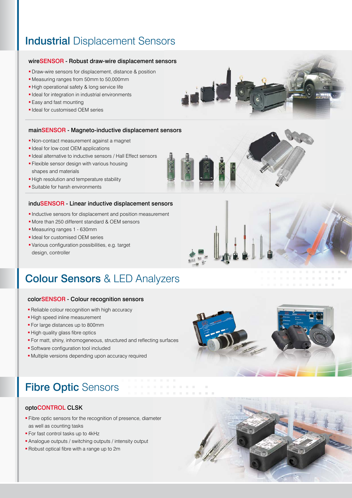### **Industrial Displacement Sensors**

### wireSENSOR - Robust draw-wire displacement sensors

- **Draw-wire sensors for displacement, distance & position**
- Measuring ranges from 50mm to 50,000mm
- High operational safety & long service life
- **Ideal for integration in industrial environments**
- **Easy and fast mounting**
- **I** Ideal for customised OEM series

#### mainSENSOR - Magneto-inductive displacement sensors

- Non-contact measurement against a magnet
- **I** Ideal for low cost OEM applications
- Ideal alternative to inductive sensors / Hall Effect sensors
- **Flexible sensor design with various housing** shapes and materials
- **-High resolution and temperature stability**
- Suitable for harsh environments

### induSENSOR - Linear inductive displacement sensors

- Inductive sensors for displacement and position measurement
- More than 250 different standard & OEM sensors
- Measuring ranges 1 630mm
- **I** Ideal for customised OEM series
- Various configuration possibilities, e.g. target design, controller

### Colour Sensors & LED Analyzers

#### colorSENSOR - Colour recognition sensors

- **Reliable colour recognition with high accuracy**
- **-High speed inline measurement**
- **For large distances up to 800mm**
- High quality glass fibre optics
- For matt, shiny, inhomogeneous, structured and reflecting surfaces
- **Software configuration tool included**
- Multiple versions depending upon accuracy required



. . . . . . . .

## Fibre Optic Sensors

### optoCONTROL CLSK

- **Fibre optic sensors for the recognition of presence, diameter** as well as counting tasks
- **For fast control tasks up to 4kHz**
- Analogue outputs / switching outputs / intensity output
- Robust optical fibre with a range up to 2m